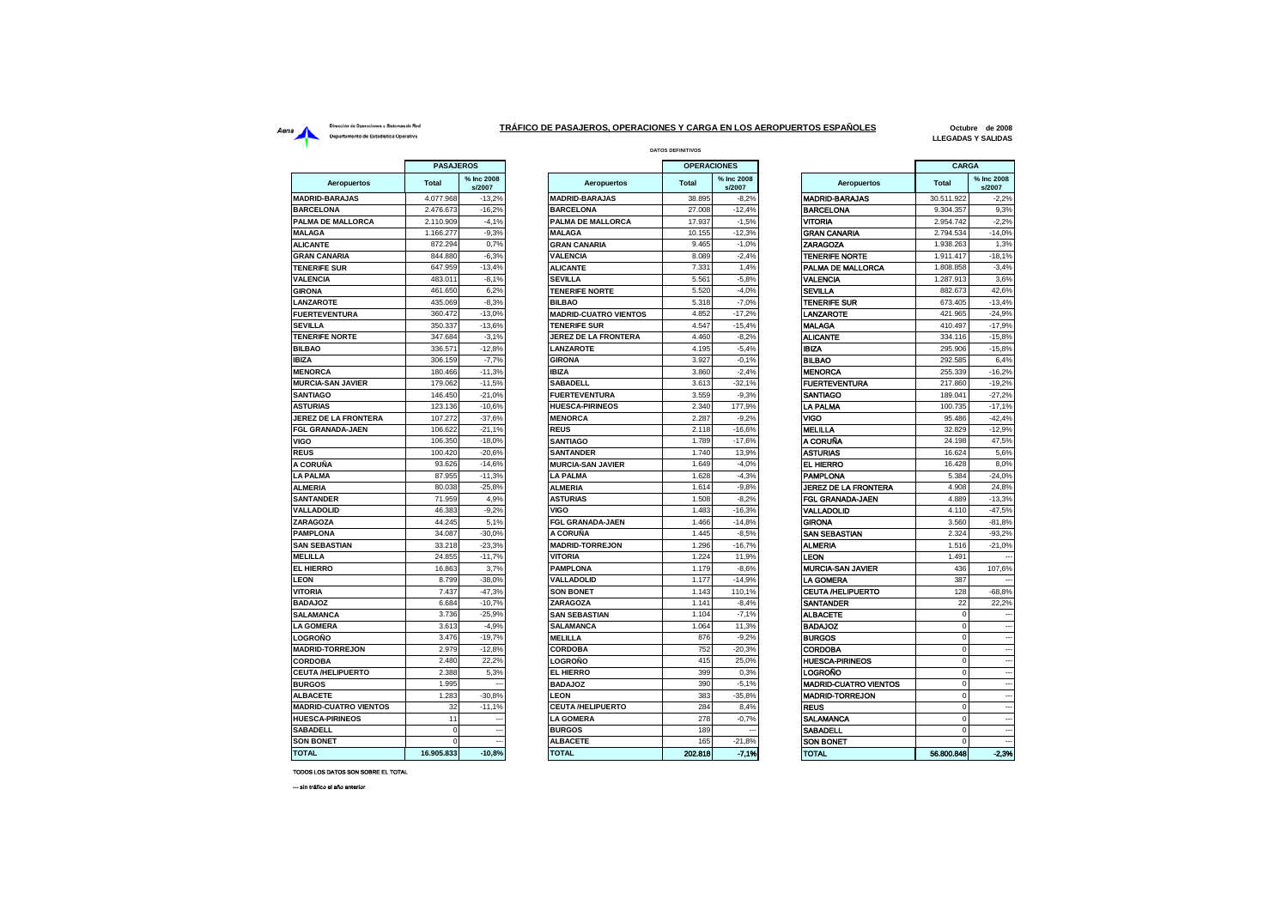## Dirección de Operaciones y Sistemas de Red Aerna<br>
Dirección de Operationes y Sistemas de Red<br>
Departamento de Estadística Operativa<br>
Departamento de Estadística Operativa

 $\blacksquare$ 

 $\sim$ 

## **DATOS DEFINITIVOS TRÁFICO DE PASAJEROS, OPERACIONES Y CARGA EN LOS AEROPUERTOS ESPAÑOLES**

**Octubre de 2008 LLEGADAS Y SALIDAS**

|                              | PASAJEROS    |                      |                              | <b>OPERACIONES</b> |                      |                              | CARGA        |                          |
|------------------------------|--------------|----------------------|------------------------------|--------------------|----------------------|------------------------------|--------------|--------------------------|
| <b>Aeropuertos</b>           | <b>Total</b> | % Inc 2008<br>s/2007 | Aeropuertos                  | <b>Total</b>       | % Inc 2008<br>s/2007 | Aeropuertos                  | <b>Total</b> | % Inc 2008<br>s/2007     |
| <b>MADRID-BARAJAS</b>        | 4.077.968    | $-13,2%$             | <b>MADRID-BARAJAS</b>        | 38.895             | $-8,2%$              | <b>MADRID-BARAJAS</b>        | 30.511.922   | $-2,2%$                  |
| <b>BARCELONA</b>             | 2.476.673    | $-16.2%$             | <b>BARCELONA</b>             | 27.008             | $-12.4%$             | <b>BARCELONA</b>             | 9.304.357    | 9.3%                     |
| PALMA DE MALLORCA            | 2.110.909    | $-4,1%$              | PALMA DE MALLORCA            | 17.937             | $-1,5%$              | VITORIA                      | 2.954.742    | $-2,2%$                  |
| <b>MALAGA</b>                | 1.166.277    | $-9,3%$              | <b>MALAGA</b>                | 10.155             | $-12,3%$             | <b>GRAN CANARIA</b>          | 2.794.534    | $-14,0%$                 |
| <b>ALICANTE</b>              | 872.294      | 0,7%                 | <b>GRAN CANARIA</b>          | 9.465              | $-1,0%$              | ZARAGOZA                     | 1.938.263    | 1,3%                     |
| <b>GRAN CANARIA</b>          | 844.880      | $-6,3%$              | <b>VALENCIA</b>              | 8.089              | $-2,4%$              | <b>TENERIFE NORTE</b>        | 1.911.417    | $-18,1%$                 |
| <b>TENERIFE SUR</b>          | 647.959      | $-13,4%$             | <b>ALICANTE</b>              | 7.331              | 1,4%                 | PALMA DE MALLORCA            | 1.808.858    | $-3,4%$                  |
| <b>VALENCIA</b>              | 483.011      | $-8,1%$              | <b>SEVILLA</b>               | 5.561              | $-5,8%$              | <b>VALENCIA</b>              | 1.287.913    | 3,6%                     |
| <b>GIRONA</b>                | 461.650      | 6,2%                 | <b>TENERIFE NORTE</b>        | 5.520              | $-4,0%$              | SEVILLA                      | 882.673      | 42,6%                    |
| LANZAROTE                    | 435.069      | $-8,3%$              | <b>BILBAO</b>                | 5.318              | $-7.0%$              | <b>TENERIFE SUR</b>          | 673.405      | $-13,4%$                 |
| <b>FUERTEVENTURA</b>         | 360.472      | $-13.0%$             | <b>MADRID-CUATRO VIENTOS</b> | 4.852              | $-17,2%$             | LANZAROTE                    | 421.965      | $-24,9%$                 |
| <b>SEVILLA</b>               | 350.337      | $-13,6%$             | <b>TENERIFE SUR</b>          | 4.547              | $-15,4%$             | <b>MALAGA</b>                | 410.497      | $-17,9%$                 |
| <b>TENERIFE NORTE</b>        | 347.684      | $-3,1%$              | <b>JEREZ DE LA FRONTERA</b>  | 4.460              | $-8.2%$              | <b>ALICANTE</b>              | 334.116      | $-15,8%$                 |
| <b>BILBAO</b>                | 336.571      | $-12,8%$             | LANZAROTE                    | 4.195              | $-5,4%$              | <b>IBIZA</b>                 | 295.906      | $-15,8%$                 |
| <b>IBIZA</b>                 | 306.159      | $-7.7%$              | <b>GIRONA</b>                | 3.927              | $-0.1%$              | <b>BILBAO</b>                | 292.585      | 6,4%                     |
| <b>MENORCA</b>               | 180.466      | $-11,3%$             | <b>IBIZA</b>                 | 3.860              | $-2,4%$              | <b>MENORCA</b>               | 255.339      | $-16,2%$                 |
| <b>MURCIA-SAN JAVIER</b>     | 179.062      | $-11,5%$             | <b>SABADELL</b>              | 3.613              | $-32,1%$             | <b>FUERTEVENTURA</b>         | 217.860      | $-19,2%$                 |
| <b>SANTIAGO</b>              | 146.450      | $-21,0%$             | <b>FUERTEVENTURA</b>         | 3.559              | $-9,3%$              | <b>SANTIAGO</b>              | 189.041      | $-27.2%$                 |
| <b>ASTURIAS</b>              | 123.136      | $-10.6%$             | <b>HUESCA-PIRINEOS</b>       | 2.340              | 177.9%               | <b>LA PALMA</b>              | 100.735      | $-17,1%$                 |
| <b>JEREZ DE LA FRONTERA</b>  | 107.272      | $-37,6%$             | <b>MENORCA</b>               | 2.287              | $-9,2%$              | VIGO                         | 95.486       | $-42,4%$                 |
| <b>FGL GRANADA-JAEN</b>      | 106.622      | $-21.1%$             | <b>REUS</b>                  | 2.118              | $-16.6%$             | <b>MELILLA</b>               | 32.829       | $-12.9%$                 |
| VIGO                         | 106.350      | $-18,0%$             | <b>SANTIAGO</b>              | 1.789              | $-17,6%$             | A CORUÑA                     | 24.198       | 47,5%                    |
| <b>REUS</b>                  | 100.420      | $-20,6%$             | <b>SANTANDER</b>             | 1.740              | 13,9%                | <b>ASTURIAS</b>              | 16.624       | 5,6%                     |
| A CORUÑA                     | 93.626       | $-14,6%$             | <b>MURCIA-SAN JAVIER</b>     | 1.649              | $-4,0%$              | <b>EL HIERRO</b>             | 16.428       | 8,0%                     |
| <b>LA PALMA</b>              | 87.955       | $-11,3%$             | <b>LA PALMA</b>              | 1.628              | $-4,3%$              | <b>PAMPLONA</b>              | 5.384        | $-24,0%$                 |
| <b>ALMERIA</b>               | 80.038       | $-25,8%$             | <b>ALMERIA</b>               | 1.614              | $-9,8%$              | <b>JEREZ DE LA FRONTERA</b>  | 4.908        | 24,8%                    |
| <b>SANTANDER</b>             | 71.959       | 4,9%                 | <b>ASTURIAS</b>              | 1.508              | $-8,2%$              | <b>FGL GRANADA-JAEN</b>      | 4.889        | $-13,3%$                 |
| <b>VALLADOLID</b>            | 46.383       | $-9,2%$              | VIGO                         | 1.483              | $-16,3%$             | VALLADOLID                   | 4.110        | $-47,5%$                 |
| ZARAGOZA                     | 44.245       | 5.1%                 | <b>FGL GRANADA-JAEN</b>      | 1.466              | $-14.8%$             | <b>GIRONA</b>                | 3.560        | $-81.8%$                 |
| <b>PAMPLONA</b>              | 34.087       | $-30,0%$             | A CORUÑA                     | 1.445              | $-8,5%$              | SAN SEBASTIAN                | 2.324        | $-93,2%$                 |
| <b>SAN SEBASTIAN</b>         | 33.218       | $-23,3%$             | <b>MADRID-TORREJON</b>       | 1.296              | $-16,7%$             | <b>ALMERIA</b>               | 1.516        | $-21,0%$                 |
| <b>MELILLA</b>               | 24.855       | $-11,7%$             | <b>VITORIA</b>               | 1.224              | 11,9%                | LEON                         | 1.491        |                          |
| EL HIERRO                    | 16.863       | 3,7%                 | <b>PAMPLONA</b>              | 1.179              | $-8,6%$              | <b>MURCIA-SAN JAVIER</b>     | 436          | 107,6%                   |
| <b>LEON</b>                  | 8.799        | $-38,0%$             | <b>VALLADOLID</b>            | 1.177              | $-14,9%$             | <b>LA GOMERA</b>             | 387          |                          |
| <b>VITORIA</b>               | 7.437        | $-47,3%$             | <b>SON BONET</b>             | 1.143              | 110,1%               | <b>CEUTA /HELIPUERTO</b>     | 128          | $-68.8%$                 |
| <b>BADAJOZ</b>               | 6.684        | $-10,7%$             | ZARAGOZA                     | 1.141              | $-8,4%$              | <b>SANTANDER</b>             | 22           | 22,2%                    |
| <b>SALAMANCA</b>             | 3.736        | $-25.9%$             | <b>SAN SEBASTIAN</b>         | 1.104              | $-7,1%$              | <b>ALBACETE</b>              | $\Omega$     |                          |
| <b>LA GOMERA</b>             | 3.613        | $-4,9%$              | <b>SALAMANCA</b>             | 1.064              | 11,3%                | <b>BADAJOZ</b>               | $\Omega$     |                          |
| LOGROÑO                      | 3.476        | $-19,7%$             | <b>MELILLA</b>               | 876                | $-9.2%$              | <b>BURGOS</b>                | $\mathbf 0$  |                          |
| <b>MADRID-TORREJON</b>       | 2.979        | $-12,8%$             | <b>CORDOBA</b>               | 752                | $-20,3%$             | <b>CORDOBA</b>               | $\mathbf 0$  | $\overline{\phantom{a}}$ |
| <b>CORDOBA</b>               | 2.480        | 22,2%                | LOGROÑO                      | 415                | 25,0%                | <b>HUESCA-PIRINEOS</b>       | $\mathbf 0$  |                          |
| CEUTA /HELIPUERTO            | 2.388        | 5,3%                 | <b>EL HIERRO</b>             | 399                | 0.3%                 | LOGROÑO                      | $\Omega$     | --                       |
| <b>BURGOS</b>                | 1.995        |                      | <b>BADAJOZ</b>               | 390                | $-5,1%$              | <b>MADRID-CUATRO VIENTOS</b> | 0            |                          |
| <b>ALBACETE</b>              | 1.283        | $-30,8%$             | <b>LEON</b>                  | 383                | $-35,8%$             | <b>MADRID-TORREJON</b>       | $\mathbf 0$  | $\overline{\phantom{a}}$ |
| <b>MADRID-CUATRO VIENTOS</b> | 32           | $-11.1%$             | <b>CEUTA /HELIPUERTO</b>     | 284                | 8.4%                 | <b>REUS</b>                  | $\Omega$     | $\overline{\phantom{a}}$ |
| <b>HUESCA-PIRINEOS</b>       | 11           |                      | <b>LA GOMERA</b>             | 278                | $-0.7%$              | SALAMANCA                    | $\Omega$     | $\overline{\phantom{a}}$ |
| SABADELL                     | $\mathbf 0$  |                      | <b>BURGOS</b>                | 189                |                      | SABADELL                     |              |                          |
| <b>SON BONET</b>             | $\Omega$     |                      | <b>ALBACETE</b>              | 165                | $-21,8%$             | <b>SON BONET</b>             | $\Omega$     |                          |
| TOTAL                        | 46.005.922   | 10.00/               | TOTAL                        | <b>GOO 040</b>     | 7.406                | TOTAL                        | ER 000 040   | -9.994                   |

| <b>PASAJEROS</b> |                          |                              | <b>OPERACIONES</b> |                      |                              | CARGA        |                          |
|------------------|--------------------------|------------------------------|--------------------|----------------------|------------------------------|--------------|--------------------------|
| <b>Total</b>     | % Inc 2008<br>s/2007     | <b>Aeropuertos</b>           | <b>Total</b>       | % Inc 2008<br>s/2007 | <b>Aeropuertos</b>           | <b>Total</b> | % Inc 2008<br>s/2007     |
| 4.077.968        | $-13.2%$                 | <b>MADRID-BARAJAS</b>        | 38.895             | $-8.2%$              | <b>MADRID-BARAJAS</b>        | 30.511.922   | $-2.2%$                  |
| 2.476.673        | $-16.2%$                 | <b>BARCELONA</b>             | 27,008             | $-12,4%$             | <b>BARCELONA</b>             | 9.304.357    | 9,3%                     |
| 2.110.909        | $-4,1%$                  | PALMA DE MALLORCA            | 17.937             | $-1,5%$              | <b>VITORIA</b>               | 2.954.742    | $-2,2%$                  |
| 1.166.277        | $-9,3%$                  | <b>MALAGA</b>                | 10.155             | $-12,3%$             | <b>GRAN CANARIA</b>          | 2.794.534    | $-14,0%$                 |
| 872.294          | 0,7%                     | <b>GRAN CANARIA</b>          | 9.465              | $-1,0%$              | <b>ZARAGOZA</b>              | 1.938.263    | 1,3%                     |
| 844.880          | $-6,3%$                  | <b>VALENCIA</b>              | 8.089              | $-2.4%$              | <b>TENERIFE NORTE</b>        | 1.911.417    | $-18.1%$                 |
| 647.959          | $-13,4%$                 | <b>ALICANTE</b>              | 7.331              | 1,4%                 | PALMA DE MALLORCA            | 1.808.858    | $-3,4%$                  |
| 483.011          | $-8.1%$                  | <b>SEVILLA</b>               | 5.561              | $-5.8%$              | <b>VALENCIA</b>              | 1.287.913    | 3.6%                     |
| 461.650          | 6,2%                     | <b>TENERIFE NORTE</b>        | 5.520              | $-4,0%$              | <b>SEVILLA</b>               | 882.673      | 42,6%                    |
| 435.069          | $-8,3%$                  | <b>BILBAO</b>                | 5.318              | $-7,0%$              | <b>TENERIFE SUR</b>          | 673.405      | $-13,4%$                 |
| 360.472          | $-13.0%$                 | <b>MADRID-CUATRO VIENTOS</b> | 4.852              | $-17.2%$             | <b>LANZAROTE</b>             | 421.965      | $-24.9%$                 |
| 350.337          | $-13.6%$                 | <b>TENERIFE SUR</b>          | 4.547              | $-15.4%$             | <b>MALAGA</b>                | 410.497      | $-17.9%$                 |
| 347.684          | $-3,1%$                  | <b>JEREZ DE LA FRONTERA</b>  | 4.460              | $-8,2%$              | <b>ALICANTE</b>              | 334.116      | $-15,8%$                 |
| 336.571          | $-12,8%$                 | <b>LANZAROTE</b>             | 4.195              | $-5,4%$              | <b>IBIZA</b>                 | 295.906      | $-15,8%$                 |
| 306.159          | $-7,7%$                  | <b>GIRONA</b>                | 3.927              | $-0.1%$              | <b>BILBAO</b>                | 292.585      | 6,4%                     |
| 180,466          | $-11,3%$                 | <b>IBIZA</b>                 | 3.860              | $-2.4%$              | <b>MENORCA</b>               | 255,339      | $-16.2%$                 |
| 179.062          | $-11,5%$                 | <b>SABADELL</b>              | 3.613              | $-32,1%$             | <b>FUERTEVENTURA</b>         | 217.860      | $-19.2%$                 |
| 146.450          | $-21,0%$                 | <b>FUERTEVENTURA</b>         | 3.559              | $-9,3%$              | <b>SANTIAGO</b>              | 189.041      | $-27,2%$                 |
| 123.136          | $-10.6%$                 | <b>HUESCA-PIRINEOS</b>       | 2.340              | 177.9%               | <b>LA PALMA</b>              | 100.735      | $-17.1%$                 |
| 107.272          | $-37.6%$                 | <b>MENORCA</b>               | 2.287              | $-9.2%$              | VIGO                         | 95.486       | $-42.4%$                 |
| 106.622          | $-21.1%$                 | <b>REUS</b>                  | 2.118              | $-16.6%$             | <b>MELILLA</b>               | 32,829       | $-12.9%$                 |
| 106.350          | $-18.0%$                 | <b>SANTIAGO</b>              | 1.789              | $-17.6%$             | A CORUÑA                     | 24.198       | 47,5%                    |
| 100.420          | $-20,6%$                 | <b>SANTANDER</b>             | 1.740              | 13,9%                | <b>ASTURIAS</b>              | 16.624       | 5,6%                     |
| 93.626           | $-14,6%$                 | <b>MURCIA-SAN JAVIER</b>     | 1.649              | $-4,0%$              | <b>EL HIERRO</b>             | 16.428       | 8.0%                     |
| 87.955           | $-11,3%$                 | <b>LA PALMA</b>              | 1.628              | $-4,3%$              | <b>PAMPLONA</b>              | 5.384        | $-24,0%$                 |
| 80.038           | $-25,8%$                 | <b>ALMERIA</b>               | 1.614              | $-9,8%$              | JEREZ DE LA FRONTERA         | 4.908        | 24,8%                    |
| 71.959           | 4,9%                     | <b>ASTURIAS</b>              | 1.508              | $-8,2%$              | <b>FGL GRANADA-JAEN</b>      | 4.889        | $-13,3%$                 |
| 46.383           | $-9.2%$                  | VIGO                         | 1.483              | $-16,3%$             | VALLADOLID                   | 4.110        | $-47.5%$                 |
| 44.245           | 5.1%                     | <b>FGL GRANADA-JAEN</b>      | 1.466              | $-14.8%$             | <b>GIRONA</b>                | 3.560        | $-81.8%$                 |
| 34.087           | $-30.0%$                 | A CORUÑA                     | 1.445              | $-8.5%$              | <b>SAN SEBASTIAN</b>         | 2.324        | $-93.2%$                 |
| 33.218           | $-23,3%$                 | <b>MADRID-TORREJON</b>       | 1.296              | $-16,7%$             | <b>ALMERIA</b>               | 1.516        | $-21,0%$                 |
| 24.855           | $-11,7%$                 | <b>VITORIA</b>               | 1.224              | 11,9%                | LEON                         | 1.491        |                          |
| 16,863           | 3.7%                     | <b>PAMPLONA</b>              | 1.179              | $-8.6%$              | <b>MURCIA-SAN JAVIER</b>     | 436          | 107.6%                   |
| 8.799            | $-38,0%$                 | <b>VALLADOLID</b>            | 1.177              | $-14,9%$             | LA GOMERA                    | 387          |                          |
| 7.437            | $-47,3%$                 | <b>SON BONET</b>             | 1.143              | 110,1%               | <b>CEUTA /HELIPUERTO</b>     | 128          | $-68,8%$                 |
| 6.684            | $-10,7%$                 | ZARAGOZA                     | 1.141              | $-8,4%$              | <b>SANTANDER</b>             | 22           | 22.2%                    |
| 3.736            | $-25.9%$                 | <b>SAN SEBASTIAN</b>         | 1.104              | $-7,1%$              | <b>ALBACETE</b>              | $\mathbf 0$  |                          |
| 3.613            | $-4.9%$                  | <b>SALAMANCA</b>             | 1.064              | 11.3%                | <b>BADAJOZ</b>               | $\mathbf 0$  |                          |
| 3.476            | $-19,7%$                 | <b>MELILLA</b>               | 876                | $-9.2%$              | <b>BURGOS</b>                | $\mathbf 0$  |                          |
| 2.979            | $-12.8%$                 | <b>CORDOBA</b>               | 752                | $-20.3%$             | CORDOBA                      | $\Omega$     | $\overline{\phantom{a}}$ |
| 2.480            | 22.2%                    | LOGROÑO                      | 415                | 25.0%                | <b>HUESCA-PIRINEOS</b>       | $\Omega$     |                          |
| 2.388            | 5.3%                     | <b>EL HIERRO</b>             | 399                | 0.3%                 | <b>LOGROÑO</b>               | $\mathbf 0$  |                          |
| 1.995            |                          | <b>BADAJOZ</b>               | 390                | $-5,1%$              | <b>MADRID-CUATRO VIENTOS</b> | $\mathbf 0$  |                          |
| 1.283            | $-30.8%$                 | <b>LEON</b>                  | 383                | $-35.8%$             | <b>MADRID-TORREJON</b>       | $\mathbf 0$  | $\overline{\phantom{a}}$ |
| 32               | $-11,1%$                 | <b>CEUTA /HELIPUERTO</b>     | 284                | 8,4%                 | <b>REUS</b>                  | $\mathbf 0$  | ÷.                       |
| 11               |                          | <b>LA GOMERA</b>             | 278                |                      | <b>SALAMANCA</b>             | $\mathbf 0$  |                          |
| $\mathbf 0$      | $\overline{\phantom{a}}$ | <b>BURGOS</b>                | 189                | $-0.7%$              | <b>SABADELL</b>              | $\mathbf 0$  | $\ddot{\phantom{1}}$     |
| 0                |                          |                              |                    |                      | <b>SON BONET</b>             | $\Omega$     |                          |
|                  |                          | <b>ALBACETE</b>              | 165                | $-21,8%$             |                              |              |                          |
| 16.905.833       | $-10,8%$                 | <b>TOTAL</b>                 | 202.818            | $-7,1%$              | <b>TOTAL</b>                 | 56,800,848   | $-2.3%$                  |

|                              | <b>CARGA</b>     |                      |
|------------------------------|------------------|----------------------|
| <b>Aeropuertos</b>           | <b>Total</b>     | % Inc 2008<br>s/2007 |
| <b>MADRID-BARAJAS</b>        | 30.511.922       | $-2,2%$              |
| <b>BARCELONA</b>             | 9.304.357        | 9,3%                 |
| VITORIA                      | 2.954.742        | $-2,2%$              |
| GRAN CANARIA                 | 2.794.534        | $-14,0%$             |
| <b>ZARAGOZA</b>              | 1.938.263        | 1,3%                 |
| <b>TENERIFE NORTE</b>        | 1.911.417        | $-18,1%$             |
| PALMA DE MALLORCA            | 1.808.858        | $-3,4%$              |
| VALENCIA                     | 1.287.913        | 3,6%                 |
| SEVILLA                      | 882.673          | 42,6%                |
| TENERIFE SUR                 | 673.405          | $-13,4%$             |
| LANZAROTE                    | 421.965          | $-24.9%$             |
| <b>MALAGA</b>                | 410.497          | $-17,9%$             |
| <b>ALICANTE</b>              | 334.116          | $-15,8%$             |
| <b>IBIZA</b>                 | 295.906          | $-15,8%$             |
| <b>BILBAO</b>                | 292.585          | 6.4%                 |
| <b>MENORCA</b>               | 255.339          | $-16,2%$             |
| <b>FUERTEVENTURA</b>         | 217.860          | $-19,2%$             |
| SANTIAGO                     | 189.041          | $-27,2%$             |
| <b>LA PALMA</b>              | 100.735          | $-17,1%$             |
| VIGO                         | 95.486           | $-42,4%$             |
| MELILLA                      | 32.829           | $-12,9%$             |
| A CORUÑA                     | 24.198           | 47,5%                |
| <b>ASTURIAS</b>              |                  | 5,6%                 |
|                              | 16.624<br>16.428 |                      |
| EL HIERRO                    |                  | 8,0%                 |
| <b>PAMPLONA</b>              | 5.384            | $-24,0%$             |
| JEREZ DE LA FRONTERA         | 4.908            | 24,8%                |
| FGL GRANADA-JAEN             | 4.889            | $-13,3%$             |
| VALLADOLID                   | 4.110            | $-47,5%$             |
| <b>GIRONA</b>                | 3.560            | $-81,8%$             |
| SAN SEBASTIAN                | 2.324            | $-93,2%$             |
| <b>ALMERIA</b>               | 1.516            | $-21,0%$             |
| LEON                         | 1.491            |                      |
| <b>MURCIA-SAN JAVIER</b>     | 436              | 107,6%               |
| <b>LA GOMERA</b>             | 387              |                      |
| <b>CEUTA /HELIPUERTO</b>     | 128              | $-68,8%$             |
| SANTANDER                    | 22               | 22,2%                |
| <b>ALBACETE</b>              | 0                |                      |
| <b>BADAJOZ</b>               | 0                |                      |
| <b>BURGOS</b>                | 0                | ---                  |
| CORDOBA                      | 0                |                      |
| <b>HUESCA-PIRINEOS</b>       | 0                |                      |
| LOGROÑO                      | $\Omega$         |                      |
| <b>MADRID-CUATRO VIENTOS</b> | 0                |                      |
| <b>MADRID-TORREJON</b>       | $\mathbf 0$      |                      |
| <b>REUS</b>                  | 0                |                      |
| SALAMANCA                    | $\mathbf 0$      |                      |
| <b>SABADELL</b>              | $\mathbf 0$      |                      |
| SON BONET                    | $\overline{0}$   |                      |
|                              |                  |                      |

## TODOS LOS DATOS SON SOBRE EL TOTAL

--- sin tráfico el año anterior